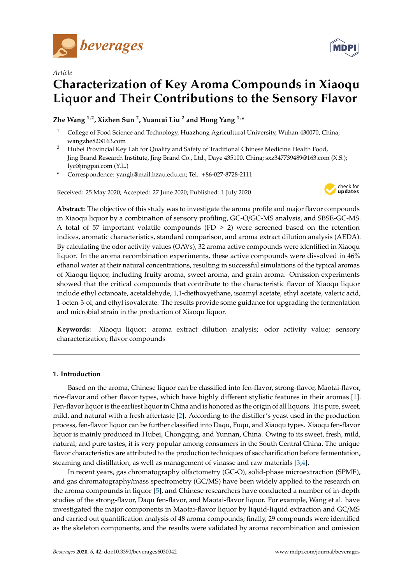

*Article*



# **Characterization of Key Aroma Compounds in Xiaoqu Liquor and Their Contributions to the Sensory Flavor**

**Zhe Wang 1,2, Xizhen Sun <sup>2</sup> , Yuancai Liu <sup>2</sup> and Hong Yang 1,\***

- <sup>1</sup> College of Food Science and Technology, Huazhong Agricultural University, Wuhan 430070, China; wangzhe82@163.com
- <sup>2</sup> Hubei Provincial Key Lab for Quality and Safety of Traditional Chinese Medicine Health Food, Jing Brand Research Institute, Jing Brand Co., Ltd., Daye 435100, China; sxz347739489@163.com (X.S.); lyc@jingpai.com (Y.L.)
- **\*** Correspondence: yangh@mail.hzau.edu.cn; Tel.: +86-027-8728-2111

Received: 25 May 2020; Accepted: 27 June 2020; Published: 1 July 2020



**Abstract:** The objective of this study was to investigate the aroma profile and major flavor compounds in Xiaoqu liquor by a combination of sensory profiling, GC-O/GC-MS analysis, and SBSE-GC-MS. A total of 57 important volatile compounds (FD  $\geq$  2) were screened based on the retention indices, aromatic characteristics, standard comparison, and aroma extract dilution analysis (AEDA). By calculating the odor activity values (OAVs), 32 aroma active compounds were identified in Xiaoqu liquor. In the aroma recombination experiments, these active compounds were dissolved in 46% ethanol water at their natural concentrations, resulting in successful simulations of the typical aromas of Xiaoqu liquor, including fruity aroma, sweet aroma, and grain aroma. Omission experiments showed that the critical compounds that contribute to the characteristic flavor of Xiaoqu liquor include ethyl octanoate, acetaldehyde, 1,1-diethoxyethane, isoamyl acetate, ethyl acetate, valeric acid, 1-octen-3-ol, and ethyl isovalerate. The results provide some guidance for upgrading the fermentation and microbial strain in the production of Xiaoqu liquor.

**Keywords:** Xiaoqu liquor; aroma extract dilution analysis; odor activity value; sensory characterization; flavor compounds

# **1. Introduction**

Based on the aroma, Chinese liquor can be classified into fen-flavor, strong-flavor, Maotai-flavor, rice-flavor and other flavor types, which have highly different stylistic features in their aromas [\[1\]](#page-9-0). Fen-flavor liquor is the earliest liquor in China and is honored as the origin of all liquors. It is pure, sweet, mild, and natural with a fresh aftertaste [\[2\]](#page-9-1). According to the distiller's yeast used in the production process, fen-flavor liquor can be further classified into Daqu, Fuqu, and Xiaoqu types. Xiaoqu fen-flavor liquor is mainly produced in Hubei, Chongqing, and Yunnan, China. Owing to its sweet, fresh, mild, natural, and pure tastes, it is very popular among consumers in the South Central China. The unique flavor characteristics are attributed to the production techniques of saccharification before fermentation, steaming and distillation, as well as management of vinasse and raw materials [\[3,](#page-9-2)[4\]](#page-9-3).

In recent years, gas chromatography olfactometry (GC-O), solid-phase microextraction (SPME), and gas chromatography/mass spectrometry (GC/MS) have been widely applied to the research on the aroma compounds in liquor [\[5\]](#page-9-4), and Chinese researchers have conducted a number of in-depth studies of the strong-flavor, Daqu fen-flavor, and Maotai-flavor liquor. For example, Wang et al. have investigated the major components in Maotai-flavor liquor by liquid-liquid extraction and GC/MS and carried out quantification analysis of 48 aroma compounds; finally, 29 compounds were identified as the skeleton components, and the results were validated by aroma recombination and omission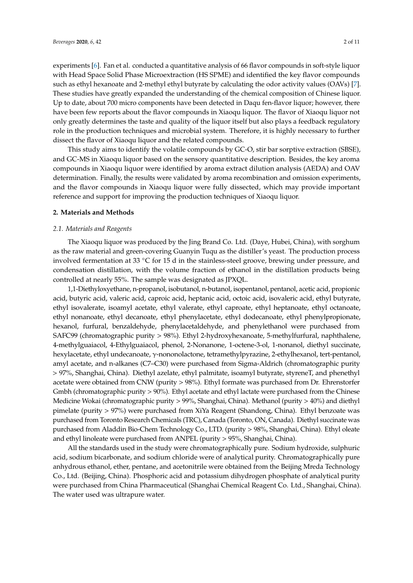experiments [\[6\]](#page-9-5). Fan et al. conducted a quantitative analysis of 66 flavor compounds in soft-style liquor with Head Space Solid Phase Microextraction (HS SPME) and identified the key flavor compounds such as ethyl hexanoate and 2-methyl ethyl butyrate by calculating the odor activity values (OAVs) [\[7\]](#page-9-6). These studies have greatly expanded the understanding of the chemical composition of Chinese liquor. Up to date, about 700 micro components have been detected in Daqu fen-flavor liquor; however, there have been few reports about the flavor compounds in Xiaoqu liquor. The flavor of Xiaoqu liquor not only greatly determines the taste and quality of the liquor itself but also plays a feedback regulatory role in the production techniques and microbial system. Therefore, it is highly necessary to further dissect the flavor of Xiaoqu liquor and the related compounds.

This study aims to identify the volatile compounds by GC-O, stir bar sorptive extraction (SBSE), and GC-MS in Xiaoqu liquor based on the sensory quantitative description. Besides, the key aroma compounds in Xiaoqu liquor were identified by aroma extract dilution analysis (AEDA) and OAV determination. Finally, the results were validated by aroma recombination and omission experiments, and the flavor compounds in Xiaoqu liquor were fully dissected, which may provide important reference and support for improving the production techniques of Xiaoqu liquor.

#### **2. Materials and Methods**

#### *2.1. Materials and Reagents*

The Xiaoqu liquor was produced by the Jing Brand Co. Ltd. (Daye, Hubei, China), with sorghum as the raw material and green-covering Guanyin Tuqu as the distiller's yeast. The production process involved fermentation at 33 ◦C for 15 d in the stainless-steel groove, brewing under pressure, and condensation distillation, with the volume fraction of ethanol in the distillation products being controlled at nearly 55%. The sample was designated as JPXQL.

1,1-Diethyloxyethane, n-propanol, isobutanol, n-butanol, isopentanol, pentanol, acetic acid, propionic acid, butyric acid, valeric acid, caproic acid, heptanic acid, octoic acid, isovaleric acid, ethyl butyrate, ethyl isovalerate, isoamyl acetate, ethyl valerate, ethyl caproate, ethyl heptanoate, ethyl octanoate, ethyl nonanoate, ethyl decanoate, ethyl phenylacetate, ethyl dodecanoate, ethyl phenylpropionate, hexanol, furfural, benzaldehyde, phenylacetaldehyde, and phenylethanol were purchased from SAFC99 (chromatographic purity > 98%). Ethyl 2-hydroxyhexanoate, 5-methylfurfural, naphthalene, 4-methylguaiacol, 4-Ethylguaiacol, phenol, 2-Nonanone, 1-octene-3-ol, 1-nonanol, diethyl succinate, hexylacetate, ethyl undecanoate, γ-nononolactone, tetramethylpyrazine, 2-ethylhexanol, tert-pentanol, amyl acetate, and n-alkanes (C7–C30) were purchased from Sigma-Aldrich (chromatographic purity > 97%, Shanghai, China). Diethyl azelate, ethyl palmitate, isoamyl butyrate, styreneT, and phenethyl acetate were obtained from CNW (purity > 98%). Ethyl formate was purchased from Dr. Ehrenstorfer Gmbh (chromatographic purity > 90%). Ethyl acetate and ethyl lactate were purchased from the Chinese Medicine Wokai (chromatographic purity > 99%, Shanghai, China). Methanol (purity > 40%) and diethyl pimelate (purity > 97%) were purchased from XiYa Reagent (Shandong, China). Ethyl benzoate was purchased from Toronto Research Chemicals (TRC), Canada (Toronto, ON, Canada). Diethyl succinate was purchased from Aladdin Bio-Chem Technology Co., LTD. (purity > 98%, Shanghai, China). Ethyl oleate and ethyl linoleate were purchased from ANPEL (purity > 95%, Shanghai, China).

All the standards used in the study were chromatographically pure. Sodium hydroxide, sulphuric acid, sodium bicarbonate, and sodium chloride were of analytical purity. Chromatographically pure anhydrous ethanol, ether, pentane, and acetonitrile were obtained from the Beijing Mreda Technology Co., Ltd. (Beijing, China). Phosphoric acid and potassium dihydrogen phosphate of analytical purity were purchased from China Pharmaceutical (Shanghai Chemical Reagent Co. Ltd., Shanghai, China). The water used was ultrapure water.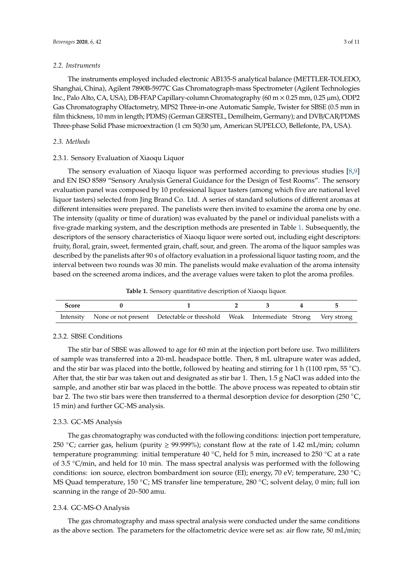#### *2.2. Instruments*

The instruments employed included electronic AB135-S analytical balance (METTLER-TOLEDO, Shanghai, China), Agilent 7890B-5977C Gas Chromatograph-mass Spectrometer (Agilent Technologies Inc., Palo Alto, CA, USA), DB-FFAP Capillary-column Chromatography (60 m  $\times$  0.25 mm, 0.25  $\mu$ m), ODP2 Gas Chromatography Olfactometry, MPS2 Three-in-one Automatic Sample, Twister for SBSE (0.5 mm in film thickness, 10 mm in length; PDMS) (German GERSTEL, Demilheim, Germany); and DVB/CAR/PDMS Three-phase Solid Phase microextraction (1 cm 50/30 µm, American SUPELCO, Bellefonte, PA, USA).

### *2.3. Methods*

#### 2.3.1. Sensory Evaluation of Xiaoqu Liquor

The sensory evaluation of Xiaoqu liquor was performed according to previous studies [\[8](#page-9-7)[,9\]](#page-9-8) and EN ISO 8589 "Sensory Analysis General Guidance for the Design of Test Rooms". The sensory evaluation panel was composed by 10 professional liquor tasters (among which five are national level liquor tasters) selected from Jing Brand Co. Ltd. A series of standard solutions of different aromas at different intensities were prepared. The panelists were then invited to examine the aroma one by one. The intensity (quality or time of duration) was evaluated by the panel or individual panelists with a five-grade marking system, and the description methods are presented in Table [1.](#page-2-0) Subsequently, the descriptors of the sensory characteristics of Xiaoqu liquor were sorted out, including eight descriptors: fruity, floral, grain, sweet, fermented grain, chaff, sour, and green. The aroma of the liquor samples was described by the panelists after 90 s of olfactory evaluation in a professional liquor tasting room, and the interval between two rounds was 30 min. The panelists would make evaluation of the aroma intensity based on the screened aroma indices, and the average values were taken to plot the aroma profiles.

**Table 1.** Sensory quantitative description of Xiaoqu liquor.

<span id="page-2-0"></span>

| Score |                                                                                            |  |  |
|-------|--------------------------------------------------------------------------------------------|--|--|
|       | Intensity None or not present Detectable or threshold Weak Intermediate Strong Very strong |  |  |

# <span id="page-2-1"></span>2.3.2. SBSE Conditions

The stir bar of SBSE was allowed to age for 60 min at the injection port before use. Two milliliters of sample was transferred into a 20-mL headspace bottle. Then, 8 mL ultrapure water was added, and the stir bar was placed into the bottle, followed by heating and stirring for 1 h (1100 rpm, 55 °C). After that, the stir bar was taken out and designated as stir bar 1. Then, 1.5 g NaCl was added into the sample, and another stir bar was placed in the bottle. The above process was repeated to obtain stir bar 2. The two stir bars were then transferred to a thermal desorption device for desorption (250 °C, 15 min) and further GC-MS analysis.

### 2.3.3. GC-MS Analysis

The gas chromatography was conducted with the following conditions: injection port temperature, 250 °C; carrier gas, helium (purity  $\geq$  99.999%); constant flow at the rate of 1.42 mL/min; column temperature programming: initial temperature 40 °C, held for 5 min, increased to 250 °C at a rate of 3.5 ◦C/min, and held for 10 min. The mass spectral analysis was performed with the following conditions: ion source, electron bombardment ion source (EI); energy, 70 eV; temperature, 230 ◦C; MS Quad temperature, 150 ℃; MS transfer line temperature, 280 °C; solvent delay, 0 min; full ion scanning in the range of 20–500 amu.

### 2.3.4. GC-MS-O Analysis

The gas chromatography and mass spectral analysis were conducted under the same conditions as the above section. The parameters for the olfactometric device were set as: air flow rate, 50 mL/min;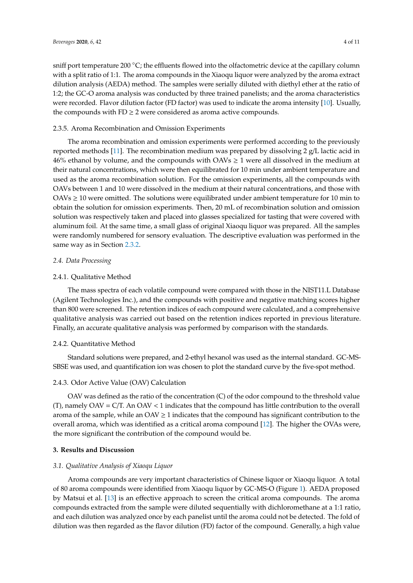sniff port temperature 200  $\degree$ C; the effluents flowed into the olfactometric device at the capillary column with a split ratio of 1:1. The aroma compounds in the Xiaoqu liquor were analyzed by the aroma extract dilution analysis (AEDA) method. The samples were serially diluted with diethyl ether at the ratio of 1:2; the GC-O aroma analysis was conducted by three trained panelists; and the aroma characteristics were recorded. Flavor dilution factor (FD factor) was used to indicate the aroma intensity [\[10\]](#page-9-9). Usually, the compounds with  $FD \geq 2$  were considered as aroma active compounds.

# 2.3.5. Aroma Recombination and Omission Experiments

The aroma recombination and omission experiments were performed according to the previously reported methods [\[11\]](#page-10-0). The recombination medium was prepared by dissolving 2 g/L lactic acid in 46% ethanol by volume, and the compounds with OAVs  $\geq$  1 were all dissolved in the medium at their natural concentrations, which were then equilibrated for 10 min under ambient temperature and used as the aroma recombination solution. For the omission experiments, all the compounds with OAVs between 1 and 10 were dissolved in the medium at their natural concentrations, and those with  $OAVs \geq 10$  were omitted. The solutions were equilibrated under ambient temperature for 10 min to obtain the solution for omission experiments. Then, 20 mL of recombination solution and omission solution was respectively taken and placed into glasses specialized for tasting that were covered with aluminum foil. At the same time, a small glass of original Xiaoqu liquor was prepared. All the samples were randomly numbered for sensory evaluation. The descriptive evaluation was performed in the same way as in Section [2.3.2.](#page-2-1)

## *2.4. Data Processing*

## 2.4.1. Qualitative Method

The mass spectra of each volatile compound were compared with those in the NIST11.L Database (Agilent Technologies Inc.), and the compounds with positive and negative matching scores higher than 800 were screened. The retention indices of each compound were calculated, and a comprehensive qualitative analysis was carried out based on the retention indices reported in previous literature. Finally, an accurate qualitative analysis was performed by comparison with the standards.

# 2.4.2. Quantitative Method

Standard solutions were prepared, and 2-ethyl hexanol was used as the internal standard. GC-MS-SBSE was used, and quantification ion was chosen to plot the standard curve by the five-spot method.

# 2.4.3. Odor Active Value (OAV) Calculation

OAV was defined as the ratio of the concentration (C) of the odor compound to the threshold value  $(T)$ , namely OAV = C/T. An OAV < 1 indicates that the compound has little contribution to the overall aroma of the sample, while an  $OAV \ge 1$  indicates that the compound has significant contribution to the overall aroma, which was identified as a critical aroma compound [\[12\]](#page-10-1). The higher the OVAs were, the more significant the contribution of the compound would be.

# **3. Results and Discussion**

### *3.1. Qualitative Analysis of Xiaoqu Liquor*

Aroma compounds are very important characteristics of Chinese liquor or Xiaoqu liquor. A total of 80 aroma compounds were identified from Xiaoqu liquor by GC-MS-O (Figure [1\)](#page-4-0). AEDA proposed by Matsui et al. [\[13\]](#page-10-2) is an effective approach to screen the critical aroma compounds. The aroma compounds extracted from the sample were diluted sequentially with dichloromethane at a 1:1 ratio, and each dilution was analyzed once by each panelist until the aroma could not be detected. The fold of dilution was then regarded as the flavor dilution (FD) factor of the compound. Generally, a high value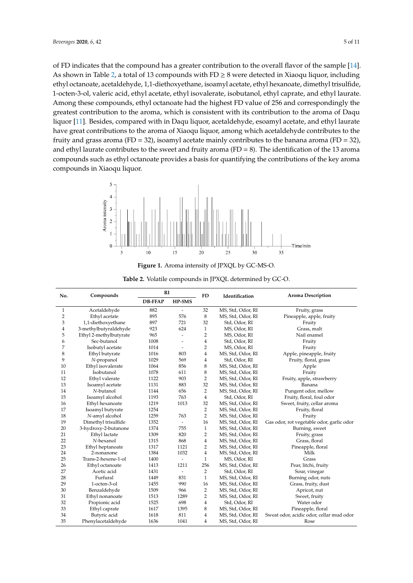of FD indicates that the compound has a greater contribution to the overall flavor of the sample [\[14\]](#page-10-3). As shown in [T](#page-5-0)able 2, a total of 13 compounds with FD  $\geq 8$  were detected in Xiaoqu liquor, including ethyl octanoate, acetaldehyde, 1,1-diethoxyethane, isoamyl acetate, ethyl hexanoate, dimethyl trisulfide, 1-octen-3-ol, valeric acid, ethyl acetate, ethyl isovalerate, isobutanol, ethyl caprate, and ethyl laurate. Among these compounds, ethyl octanoate had the highest FD value of 256 and correspondingly the greatest contribution to the aroma, which is consistent with its contribution to the aroma of Daqu liquor [\[11\]](#page-10-0). Besides, compared with in Daqu liquor, acetaldehyde, esoamyl acetate, and ethyl laurate have great contributions to the aroma of Xiaoqu liquor, among which acetaldehyde contributes to the fruity and grass aroma (FD = 32), isoamyl acetate mainly contributes to the banana aroma (FD = 32), and ethyl laurate contributes to the sweet and fruity aroma (FD = 8). The identification of the 13 aroma compounds such as ethyl octanoate provides a basis for quantifying the contributions of the key aroma compounds in Xiaoqu liquor.

<span id="page-4-0"></span>



**Table 2.** Volatile compounds in JPXQL determined by GC-O.

| No. | Compounds              |                | <b>RI</b>                |                | Identification    | <b>Aroma Description</b>                  |
|-----|------------------------|----------------|--------------------------|----------------|-------------------|-------------------------------------------|
|     |                        | <b>DB-FFAP</b> | $HP-5MS$                 | <b>FD</b>      |                   |                                           |
| 1   | Acetaldehyde           | 882            | $\overline{a}$           | 32             | MS, Std, Odor, RI | Fruity, grass                             |
| 2   | Ethyl acetate          | 895            | 576                      | 8              | MS, Std, Odor, RI | Pineapple, apple, fruity                  |
| 3   | 1,1-diethoxyethane     | 897            | 721                      | 32             | Std, Odor, RI     | Fruity                                    |
| 4   | 3-methylbutyraldehyde  | 923            | 624                      | $\mathbf{1}$   | MS, Odor, RI      | Grass, malt                               |
| 5   | Ethyl 2-methylbutyrate | 965            | $\overline{a}$           | $\overline{2}$ | MS, Odor, RI      | Nail enamel                               |
| 6   | Sec-butanol            | 1008           | $\overline{a}$           | $\overline{4}$ | Std, Odor, RI     | Fruity                                    |
| 7   | Isobutyl acetate       | 1014           | $\overline{a}$           | $\overline{2}$ | MS, Odor, RI      | Fruity                                    |
| 8   | Ethyl butyrate         | 1016           | 803                      | 4              | MS, Std, Odor, RI | Apple, pineapple, fruity                  |
| 9   | N-propanol             | 1029           | 569                      | 4              | Std, Odor, RI     | Fruity, floral, grass                     |
| 10  | Ethyl isovalerate      | 1064           | 856                      | 8              | MS, Std, Odor, RI | Apple                                     |
| 11  | Isobutanol             | 1078           | 611                      | 8              | MS, Std, Odor, RI | Fruity                                    |
| 12  | Ethyl valerate         | 1122           | 903                      | $\overline{2}$ | MS, Std, Odor, RI | Fruity, apple, strawberry                 |
| 13  | Isoamyl acetate        | 1131           | 883                      | 32             | MS, Std, Odor, RI | Banana                                    |
| 14  | N-butanol              | 1144           | 656                      | $\overline{2}$ | MS, Std, Odor, RI | Pungent odor, mellow                      |
| 15  | Isoamyl alcohol        | 1193           | 763                      | $\overline{4}$ | Std, Odor, RI     | Fruity, floral, foul odor                 |
| 16  | Ethyl hexanoate        | 1219           | 1013                     | 32             | MS, Std, Odor, RI | Sweet, fruity, cellar aroma               |
| 17  | Isoamyl butyrate       | 1254           |                          | $\overline{2}$ | MS, Std, Odor, RI | Fruity, floral                            |
| 18  | N-amyl alcohol         | 1259           | 763                      | $\overline{2}$ | MS, Std, Odor, RI | Fruity                                    |
| 19  | Dimethyl trisulfide    | 1352           | $\overline{\phantom{a}}$ | 16             | MS, Std, Odor, RI | Gas odor, rot vegetable odor, garlic odor |
| 20  | 3-hydroxy-2-butanone   | 1374           | 755                      | $\mathbf{1}$   | MS, Std, Odor, RI | Burning, sweet                            |
| 21  | Ethyl lactate          | 1309           | 820                      | $\overline{2}$ | MS, Std, Odor, RI | Fruity, grass                             |
| 22  | N-hexanol              | 1315           | 868                      | $\overline{4}$ | MS, Std, Odor, RI | Grass, floral                             |
| 23  | Ethyl heptanoate       | 1317           | 1121                     | 2              | MS, Std, Odor, RI | Pineapple, floral                         |
| 24  | 2-nonanone             | 1384           | 1032                     | 4              | MS, Std, Odor, RI | Milk                                      |
| 25  | Trans-2-hexene-1-ol    | 1400           | $\overline{a}$           | $\mathbf{1}$   | MS, Odor, RI      | Grass                                     |
| 26  | Ethyl octanoate        | 1413           | 1211                     | 256            | MS, Std, Odor, RI | Pear, litchi, fruity                      |
| 27  | Acetic acid            | 1431           | $\overline{a}$           | $\overline{2}$ | Std, Odor, RI     | Sour, vinegar                             |
| 28  | Furfural               | 1449           | 831                      | $\mathbf{1}$   | MS, Std, Odor, RI | Burning odor, nuts                        |
| 29  | 1-octen-3-ol           | 1455           | 990                      | 16             | MS, Std, Odor, RI | Grass, fruity, dust                       |
| 30  | Benzaldehyde           | 1509           | 966                      | 2              | MS, Std, Odor, RI | Apricot, nut                              |
| 31  | Ethyl nonanoate        | 1513           | 1289                     | $\overline{2}$ | MS, Std, Odor, RI | Sweet, fruity                             |
| 32  | Propionic acid         | 1525           | 698                      | $\overline{4}$ | Std, Odor, RI     | Water odor                                |
| 33  | Ethyl caprate          | 1617           | 1395                     | 8              | MS, Std, Odor, RI | Pineapple, floral                         |
| 34  | Butyric acid           | 1618           | 811                      | 4              | MS, Std, Odor, RI | Sweat odor, acidic odor, cellar mud odor  |
| 35  | Phenylacetaldehyde     | 1636           | 1041                     | 4              | MS, Std, Odor, RI | Rose                                      |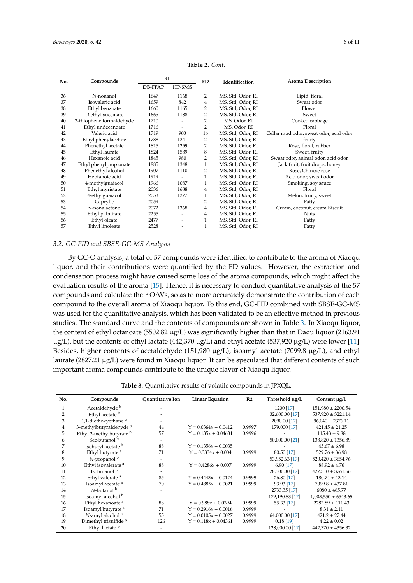<span id="page-5-0"></span>

| No. | Compounds                | RI             |                          | FD             | Identification    | <b>Aroma Description</b>               |
|-----|--------------------------|----------------|--------------------------|----------------|-------------------|----------------------------------------|
|     |                          | <b>DB-FFAP</b> | $HP-5MS$                 |                |                   |                                        |
| 36  | N-nonanol                | 1647           | 1168                     | $\overline{2}$ | MS, Std, Odor, RI | Lipid, floral                          |
| 37  | Isovaleric acid          | 1659           | 842                      | 4              | MS, Std, Odor, RI | Sweat odor                             |
| 38  | Ethyl benzoate           | 1660           | 1165                     | 2              | MS, Std, Odor, RI | Flower                                 |
| 39  | Diethyl succinate        | 1665           | 1188                     | 2              | MS, Std, Odor, RI | Sweet                                  |
| 40  | 2-thiophene formaldehyde | 1710           | ۰                        | $\overline{2}$ | MS, Odor, RI      | Cooked cabbage                         |
| 41  | Ethyl undecanoate        | 1716           |                          | $\overline{2}$ | MS, Odor, RI      | Floral                                 |
| 42  | Valeric acid             | 1719           | 903                      | 16             | MS, Std, Odor, RI | Cellar mud odor, sweat odor, acid odor |
| 43  | Ethyl phenylacetate      | 1788           | 1241                     | 2              | MS, Std, Odor, RI | fruity                                 |
| 44  | Phenethyl acetate        | 1815           | 1259                     | 2              | MS, Std, Odor, RI | Rose, floral, rubber                   |
| 45  | Ethyl laurate            | 1824           | 1589                     | 8              | MS, Std, Odor, RI | Sweet, fruity                          |
| 46  | Hexanoic acid            | 1845           | 980                      | 2              | MS, Std, Odor, RI | Sweat odor, animal odor, acid odor     |
| 47  | Ethyl phenylpropionate   | 1885           | 1348                     | $\mathbf{1}$   | MS, Std, Odor, RI | Jack fruit, fruit drops, honey         |
| 48  | Phenethyl alcohol        | 1907           | 1110                     | 2              | MS, Std, Odor, RI | Rose, Chinese rose                     |
| 49  | Heptanoic acid           | 1919           |                          | $\mathbf{1}$   | MS, Std, Odor, RI | Acid odor, sweat odor                  |
| 50  | 4-methylguaiacol         | 1966           | 1087                     | $\mathbf{1}$   | MS, Std, Odor, RI | Smoking, soy sauce                     |
| 51  | Ethyl myristate          | 2036           | 1688                     | $\overline{4}$ | MS, Std, Odor, RI | Floral                                 |
| 52  | 4-ethylguaiacol          | 2053           | 1277                     | $\mathbf{1}$   | MS, Std, Odor, RI | Melon, fruity, sweet                   |
| 53  | Caprylic                 | 2059           | $\overline{\phantom{a}}$ | 2              | MS, Std, Odor, RI | Fatty                                  |
| 54  | $\gamma$ -nonalactone    | 2072           | 1368                     | 4              | MS, Std, Odor, RI | Cream, coconut, cream Biscuit          |
| 55  | Ethyl palmitate          | 2255           | $\overline{\phantom{a}}$ | $\overline{4}$ | MS, Std, Odor, RI | <b>Nuts</b>                            |
| 56  | Ethyl oleate             | 2477           | $\overline{\phantom{a}}$ | 1              | MS, Std, Odor, RI | Fatty                                  |
| 57  | Ethyl linoleate          | 2528           | $\overline{\phantom{a}}$ | 1              | MS, Std, Odor, RI | Fatty                                  |

**Table 2.** *Cont*.

# *3.2. GC-FID and SBSE-GC-MS Analysis*

By GC-O analysis, a total of 57 compounds were identified to contribute to the aroma of Xiaoqu liquor, and their contributions were quantified by the FD values. However, the extraction and condensation process might have caused some loss of the aroma compounds, which might affect the evaluation results of the aroma [\[15\]](#page-10-4). Hence, it is necessary to conduct quantitative analysis of the 57 compounds and calculate their OAVs, so as to more accurately demonstrate the contribution of each compound to the overall aroma of Xiaoqu liquor. To this end, GC-FID combined with SBSE-GC-MS was used for the quantitative analysis, which has been validated to be an effective method in previous studies. The standard curve and the contents of compounds are shown in Table [3.](#page-6-0) In Xiaoqu liquor, the content of ethyl octanoate (5502.82 µg/L) was significantly higher than that in Daqu liquor (2163.91  $\mu$ g/L), but the contents of ethyl lactate (442,370  $\mu$ g/L) and ethyl acetate (537,920  $\mu$ g/L) were lower [\[11\]](#page-10-0). Besides, higher contents of acetaldehyde (151,980 µg/L), isoamyl acetate (7099.8 µg/L), and ethyl laurate (2827.21  $\mu$ g/L) were found in Xiaoqu liquor. It can be speculated that different contents of such important aroma compounds contribute to the unique flavor of Xiaoqu liquor.

**Table 3.** Quantitative results of volatile compounds in JPXQL.

| No.            | Compounds                        | <b>Ouantitative Ion</b> | Linear Equation        | R <sub>2</sub> | Threshold µg/L  | Content $\mu$ g/L       |
|----------------|----------------------------------|-------------------------|------------------------|----------------|-----------------|-------------------------|
| 1              | Acetaldehyde <sup>b</sup>        |                         |                        |                | 1200 [17]       | $151,980 \pm 2200.54$   |
| 2              | Ethyl acetate b                  |                         |                        |                | 32,600.00 [17]  | $537,920 \pm 3221.14$   |
| 3              | 1,1-diethoxyethane <sup>b</sup>  |                         |                        |                | 2090.00 [17]    | $96,040 \pm 2376.11$    |
| $\overline{4}$ | 3-methylbutyraldehyde b          | 44                      | $Y = 0.0364x + 0.0412$ | 0.9997         | 179,000 [17]    | $421.45 \pm 21.25$      |
| 5              | Ethyl 2-methylbutyrate b         | 57                      | $Y = 0.135x + 0.04631$ | 0.9996         |                 | $115.43 \pm 9.88$       |
| 6              | Sec-butanol <sup>b</sup>         |                         |                        |                | 50,000.00 [21]  | $138,820 \pm 1356.89$   |
| 7              | Isobutyl acetate b               | 88                      | $Y = 0.1356x + 0.0035$ |                |                 | $45.67 \pm 6.98$        |
| 8              | Ethyl butyrate <sup>a</sup>      | 71                      | $Y = 0.3334x + 0.004$  | 0.9999         | 80.50 [17]      | $529.76 \pm 36.98$      |
| 9              | $N$ -propanol $b$                |                         |                        |                | 53,952.63 [17]  | $520,420 \pm 3654.76$   |
| 10             | Ethyl isovalerate <sup>a</sup>   | 88                      | $Y = 0.4286x + 0.007$  | 0.9999         | 6.90 [17]       | $88.92 \pm 4.76$        |
| 11             | Isobutanol <sup>b</sup>          |                         |                        |                | 28,300.00 [17]  | $427,310 \pm 3761.56$   |
| 12             | Ethyl valerate <sup>a</sup>      | 85                      | $Y = 0.4443x + 0.0174$ | 0.9999         | 26.80 [17]      | $180.74 \pm 13.14$      |
| 13             | Isoamyl acetate <sup>a</sup>     | 70                      | $Y = 0.4885x + 0.0021$ | 0.9999         | 93.93 [17]      | $7099.8 \pm 437.81$     |
| 14             | N-butanol <sup>b</sup>           |                         |                        |                | 2733.35 [17]    | $6080 \pm 465.77$       |
| 15             | Isoamyl alcohol <sup>b</sup>     |                         |                        |                | 179,190.83 [17] | $1,003,550 \pm 6543.65$ |
| 16             | Ethyl hexanoate <sup>a</sup>     | 88                      | $Y = 0.988x + 0.0394$  | 0.9999         | 55.33 [17]      | $2283.89 \pm 111.43$    |
| 17             | Isoamyl butyrate <sup>a</sup>    | 71                      | $Y = 0.2916x + 0.0016$ | 0.9999         |                 | $8.31 \pm 2.11$         |
| 18             | N-amyl alcohol <sup>a</sup>      | 55                      | $Y = 0.0105x + 0.0027$ | 0.9999         | 64,000.00 [17]  | $421.2 \pm 27.44$       |
| 19             | Dimethyl trisulfide <sup>a</sup> | 126                     | $Y = 0.118x + 0.04361$ | 0.9999         | $0.18$ [19]     | $4.22 \pm 0.02$         |
| 20             | Ethyl lactate <sup>b</sup>       |                         |                        |                | 128,000.00 [17] | $442,370 \pm 4356.32$   |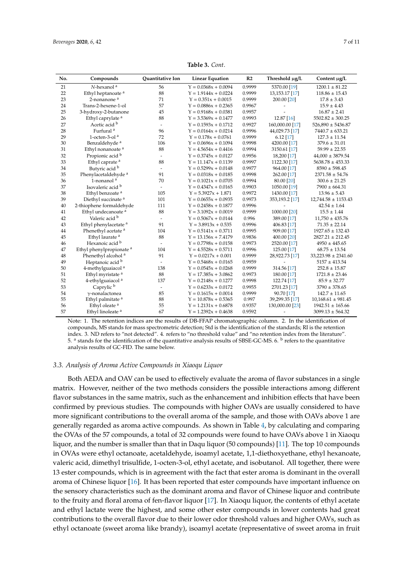<span id="page-6-0"></span>

| No. | Compounds                           | Quantitative Ion         | <b>Linear Equation</b> | R <sub>2</sub> | Threshold µg/L   | Content µg/L            |
|-----|-------------------------------------|--------------------------|------------------------|----------------|------------------|-------------------------|
| 21  | $N$ -hexanol $a$                    | 56                       | $Y = 0.0368x + 0.0094$ | 0.9999         | 5370.00 [19]     | $1200.1 \pm 81.22$      |
| 22  | Ethyl heptanoate <sup>a</sup>       | 88                       | $Y = 1.9144x + 0.0224$ | 0.9999         | 13, 153. 17 [17] | $118.86 \pm 15.43$      |
| 23  | 2-nonanone <sup>a</sup>             | 71                       | $Y = 0.351x + 0.0015$  | 0.9999         | 200.00 [20]      | $17.8 \pm 3.43$         |
| 24  | Trans-2-hexene-1-ol                 | 57                       | $Y = 0.0886x + 0.2365$ | 0.9967         |                  | $15.9 \pm 4.43$         |
| 25  | 3-hydroxy-2-butanone                | 45                       | $Y = 0.9168x + 0.0381$ | 0.9957         |                  | $16.87 \pm 2.41$        |
| 26  | Ethyl caprylate <sup>a</sup>        | 88                       | $Y = 3.5369x + 0.1477$ | 0.9993         | 12.87 [16]       | $5502.82 \pm 300.25$    |
| 27  | Acetic acid b                       | $\overline{\phantom{a}}$ | $Y = 0.1593x + 0.1712$ | 0.9927         | 160,000.00 [17]  | $526,890 \pm 5436.87$   |
| 28  | Furfural <sup>a</sup>               | 96                       | $Y = 0.0164x + 0.0214$ | 0.9996         | 44,029.73 [17]   | $7440.7 \pm 633.21$     |
| 29  | 1-octen-3-ol <sup>a</sup>           | 72                       | $Y = 0.178x + 0.0761$  | 0.9999         | $6.12$ [17]      | $127.3 \pm 11.54$       |
| 30  | Benzaldehyde <sup>a</sup>           | 106                      | $Y = 0.0696x + 0.1094$ | 0.9998         | 4200.00 [17]     | $379.6 \pm 31.01$       |
| 31  | Ethyl nonanoate <sup>a</sup>        | 88                       | $Y = 4.5654x + 0.4416$ | 0.9994         | 3150.61 [17]     | $59.99 \pm 22.55$       |
| 32  | Propionic acid <sup>b</sup>         | $\sim$                   | $Y = 0.3745x + 0.0127$ | 0.9956         | 18,200 [17]      | $44,000 \pm 3879.54$    |
| 33  | Ethyl caprate <sup>a</sup>          | 88                       | $Y = 11.147x + 0.1139$ | 0.9997         | 1122.30 [17]     | $5638.78 \pm 453.33$    |
| 34  | Butyric acid b                      | $\overline{\phantom{a}}$ | $Y = 0.5299x + 0.0148$ | 0.9977         | 964.00 [17]      | $8590 \pm 598.45$       |
| 35  | Phenylacetaldehyde <sup>a</sup>     | 91                       | $Y = 0.0318x + 0.0185$ | 0.9998         | 262.00 [17]      | $2371.58 \pm 54.76$     |
| 36  | 1-nonanol <sup>a</sup>              | 70                       | $Y = 0.1021x + 0.0705$ | 0.9994         | 80.00 [20]       | $300.6 \pm 21.25$       |
| 37  | Isovaleric acid b                   | $\overline{a}$           | $Y = 0.4347x + 0.0165$ | 0.9903         | 1050.00 [19]     | $7900 \pm 664.31$       |
| 38  | Ethyl benzoate <sup>a</sup>         | 105                      | $Y = 5.3927x + 1.871$  | 0.9972         | 1430.00 [17]     | $13.96 \pm 5.43$        |
| 39  | Diethyl succinate <sup>a</sup>      | 101                      | $Y = 0.0655x + 0.0935$ | 0.9973         | 353,193.2 [17]   | $12,744.58 \pm 1153.43$ |
| 40  | 2-thiophene formaldehyde            | 111                      | $Y = 0.2458x + 0.1877$ | 0.9996         |                  | $42.54 \pm 1.64$        |
| 41  | Ethyl undecanoate <sup>a</sup>      | 88                       | $Y = 3.1092x + 0.0019$ | 0.9999         | 1000.00 [20]     | $15.5 \pm 1.44$         |
| 42  | Valeric acid b                      | $\sim$                   | $Y = 0.5067x + 0.0144$ | 0.996          | 389.00 [17]      | $11,750 \pm 435.76$     |
| 43  | Ethyl phenylacetate <sup>a</sup>    | 91                       | $Y = 3.8913x + 0.535$  | 0.9996         | 406.83 [17]      | $71.35 \pm 22.14$       |
| 44  | Phenethyl acetate <sup>a</sup>      | 104                      | $Y = 0.5141x + 0.3711$ | 0.9995         | 909.00 [17]      | $1927.65 \pm 132.43$    |
| 45  | Ethyl laurate <sup>a</sup>          | 88                       | $Y = 13.156x + 7.4179$ | 0.9836         | 400.00 [20]      | $2827.21 \pm 212.45$    |
| 46  | Hexanoic acid b                     | $\overline{\phantom{a}}$ | $Y = 0.7798x + 0.0158$ | 0.9973         | 2520.00 [17]     | $4950 \pm 445.65$       |
| 47  | Ethyl phenylpropionate <sup>a</sup> | 104                      | $Y = 4.5528x + 0.5711$ | 0.9996         | 125.00 [17]      | $68.75 \pm 13.54$       |
| 48  | Phenethyl alcohol <sup>a</sup>      | 91                       | $Y = 0.0217x + 0.001$  | 0.9999         | 28,922.73 [17]   | $33,223.98 \pm 2341.60$ |
| 49  | Heptanoic acid b                    | $\overline{a}$           | $Y = 0.5468x + 0.0165$ | 0.9959         |                  | $5157 \pm 413.54$       |
| 50  | 4-methylguaiacol <sup>a</sup>       | 138                      | $Y = 0.0545x + 0.0268$ | 0.9999         | 314.56 [17]      | $252.8 \pm 15.87$       |
| 51  | Ethyl myristate <sup>a</sup>        | 88                       | $Y = 17.385x + 3.0862$ | 0.9973         | 180.00 [17]      | $1721.8 \pm 23.46$      |
| 52  | 4-ethylguaiacol <sup>a</sup>        | 137                      | $Y = 0.2148x + 0.1277$ | 0.9998         | 122.74 [17]      | $85.9 \pm 32.77$        |
| 53  | Caprylic <sup>b</sup>               | $\overline{\phantom{a}}$ | $Y = 0.6233x + 0.0172$ | 0.9955         | 2701.23 [17]     | $3790 \pm 378.65$       |
| 54  | $\gamma$ -nonalactonea              | 85                       | $Y = 0.1615x + 0.0014$ | 0.9999         | 90.70 [17]       | $142.7 \pm 11.65$       |
| 55  | Ethyl palmitate <sup>a</sup>        | 88                       | $Y = 10.878x + 0.5365$ | 0.997          | 39,299.35 [17]   | $10,168.61 \pm 981.45$  |
| 56  | Ethyl oleate <sup>a</sup>           | 55                       | $Y = 1.2131x + 0.6878$ | 0.9357         | 130,000.00 [23]  | $1942.51 \pm 165.66$    |
| 57  | Ethyl linoleate <sup>a</sup>        | 67                       | $Y = 1.2392x + 0.4638$ | 0.9592         |                  | $3099.13 \pm 564.32$    |

**Table 3.** *Cont*.

Note: 1. The retention indices are the results of DB-FFAP chromatographic column. 2. In the identification of compounds, MS stands for mass spectrometric detection; Std is the identification of the standards; RI is the retention index. 3. ND refers to "not detected". 4. refers to "no threshold value" and "no retention index from the literature". 5. <sup>a</sup> stands for the identification of the quantitative analysis results of SBSE-GC-MS. 6. <sup>b</sup> refers to the quantitative analysis results of GC-FID. The same below.

#### *3.3. Analysis of Aroma Active Compounds in Xiaoqu Liquor*

Both AEDA and OAV can be used to effectively evaluate the aroma of flavor substances in a single matrix. However, neither of the two methods considers the possible interactions among different flavor substances in the same matrix, such as the enhancement and inhibition effects that have been confirmed by previous studies. The compounds with higher OAVs are usually considered to have more significant contributions to the overall aroma of the sample, and those with OAVs above 1 are generally regarded as aroma active compounds. As shown in Table [4,](#page-7-0) by calculating and comparing the OVAs of the 57 compounds, a total of 32 compounds were found to have OAVs above 1 in Xiaoqu liquor, and the number is smaller than that in Daqu liquor (50 compounds) [\[11\]](#page-10-0). The top 10 compounds in OVAs were ethyl octanoate, acetaldehyde, isoamyl acetate, 1,1-diethoxyethane, ethyl hexanoate, valeric acid, dimethyl trisulfide, 1-octen-3-ol, ethyl acetate, and isobutanol. All together, there were 13 ester compounds, which is in agreement with the fact that ester aroma is dominant in the overall aroma of Chinese liquor [\[16\]](#page-10-9). It has been reported that ester compounds have important influence on the sensory characteristics such as the dominant aroma and flavor of Chinese liquor and contribute to the fruity and floral aroma of fen-flavor liquor [\[17\]](#page-10-5). In Xiaoqu liquor, the contents of ethyl acetate and ethyl lactate were the highest, and some other ester compounds in lower contents had great contributions to the overall flavor due to their lower odor threshold values and higher OAVs, such as ethyl octanoate (sweet aroma like brandy), isoamyl acetate (representative of sweet aroma in fruit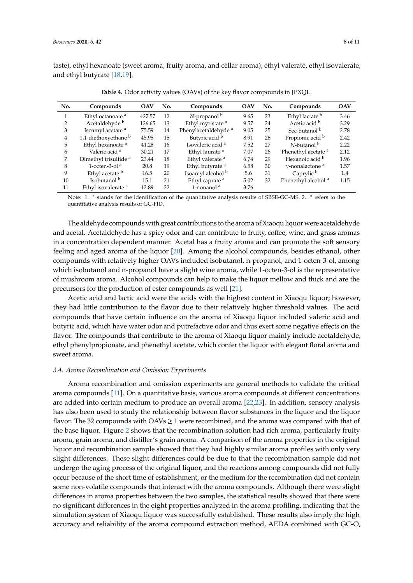taste), ethyl hexanoate (sweet aroma, fruity aroma, and cellar aroma), ethyl valerate, ethyl isovalerate, and ethyl butyrate [\[18,](#page-10-11)[19\]](#page-10-7).

<span id="page-7-0"></span>

| No. | Compounds                        | <b>OAV</b> | No. | Compounds                       | <b>OAV</b> | No. | Compounds                          | <b>OAV</b> |
|-----|----------------------------------|------------|-----|---------------------------------|------------|-----|------------------------------------|------------|
| 1   | Ethyl octanoate <sup>a</sup>     | 427.57     | 12  | $N$ -propanol $\rm ^b$          | 9.65       | 23  | Ethyl lactate b                    | 3.46       |
| 2   | Acetaldehyde <sup>b</sup>        | 126.65     | 13  | Ethyl myristate <sup>a</sup>    | 9.57       | 24  | Acetic acid b                      | 3.29       |
| 3   | Isoamyl acetate <sup>a</sup>     | 75.59      | 14  | Phenylacetaldehyde <sup>a</sup> | 9.05       | 25  | Sec-butanol <sup>b</sup>           | 2.78       |
| 4   | 1,1-diethoxyethane <sup>b</sup>  | 45.95      | 15  | Butyric acid b                  | 8.91       | 26  | Propionic acid b                   | 2.42       |
| 5   | Ethyl hexanoate <sup>a</sup>     | 41.28      | 16  | Isovaleric acid <sup>a</sup>    | 7.52       | 27  | $N$ -butanol $\rm ^b$              | 2.22       |
| 6   | Valeric acid <sup>a</sup>        | 30.21      | 17  | Ethyl laurate <sup>a</sup>      | 7.07       | 28  | Phenethyl acetate <sup>a</sup>     | 2.12       |
| 7   | Dimethyl trisulfide <sup>a</sup> | 23.44      | 18  | Ethyl valerate <sup>a</sup>     | 6.74       | 29  | Hexanoic acid b                    | 1.96       |
| 8   | 1-octen-3-ol $a$                 | 20.8       | 19  | Ethyl butyrate <sup>a</sup>     | 6.58       | 30  | $\gamma$ -nonalactone <sup>a</sup> | 1.57       |
| 9   | Ethyl acetate b                  | 16.5       | 20  | Isoamyl alcohol <sup>b</sup>    | 5.6        | 31  | Caprylic <sup>b</sup>              | 1.4        |
| 10  | Isobutanol <sup>b</sup>          | 15.1       | 21  | Ethyl caprate <sup>a</sup>      | 5.02       | 32  | Phenethyl alcohol <sup>a</sup>     | 1.15       |
| 11  | Ethyl isovalerate <sup>a</sup>   | 12.89      | 22  | 1-nonanol <sup>a</sup>          | 3.76       |     |                                    |            |

**Table 4.** Odor activity values (OAVs) of the key flavor compounds in JPXQL.

Note: 1.  $^{\text{a}}$  stands for the identification of the quantitative analysis results of SBSE-GC-MS. 2.  $^{\text{b}}$  refers to the quantitative analysis results of GC-FID.

The aldehyde compounds with great contributions to the aroma of Xiaoqu liquor were acetaldehyde and acetal. Acetaldehyde has a spicy odor and can contribute to fruity, coffee, wine, and grass aromas in a concentration dependent manner. Acetal has a fruity aroma and can promote the soft sensory feeling and aged aroma of the liquor [\[20\]](#page-10-8). Among the alcohol compounds, besides ethanol, other compounds with relatively higher OAVs included isobutanol, n-propanol, and 1-octen-3-ol, among which isobutanol and n-propanol have a slight wine aroma, while 1-octen-3-ol is the representative of mushroom aroma. Alcohol compounds can help to make the liquor mellow and thick and are the precursors for the production of ester compounds as well [\[21\]](#page-10-6).

Acetic acid and lactic acid were the acids with the highest content in Xiaoqu liquor; however, they had little contribution to the flavor due to their relatively higher threshold values. The acid compounds that have certain influence on the aroma of Xiaoqu liquor included valeric acid and butyric acid, which have water odor and putrefactive odor and thus exert some negative effects on the flavor. The compounds that contribute to the aroma of Xiaoqu liquor mainly include acetaldehyde, ethyl phenylpropionate, and phenethyl acetate, which confer the liquor with elegant floral aroma and sweet aroma.

#### *3.4. Aroma Recombination and Omission Experiments*

Aroma recombination and omission experiments are general methods to validate the critical aroma compounds [\[11\]](#page-10-0). On a quantitative basis, various aroma compounds at different concentrations are added into certain medium to produce an overall aroma [\[22](#page-10-12)[,23\]](#page-10-10). In addition, sensory analysis has also been used to study the relationship between flavor substances in the liquor and the liquor flavor. The 32 compounds with OAVs  $\geq 1$  were recombined, and the aroma was compared with that of the base liquor. Figure [2](#page-8-0) shows that the recombination solution had rich aroma, particularly fruity aroma, grain aroma, and distiller's grain aroma. A comparison of the aroma properties in the original liquor and recombination sample showed that they had highly similar aroma profiles with only very slight differences. These slight differences could be due to that the recombination sample did not undergo the aging process of the original liquor, and the reactions among compounds did not fully occur because of the short time of establishment, or the medium for the recombination did not contain some non-volatile compounds that interact with the aroma compounds. Although there were slight differences in aroma properties between the two samples, the statistical results showed that there were no significant differences in the eight properties analyzed in the aroma profiling, indicating that the simulation system of Xiaoqu liquor was successfully established. These results also imply the high accuracy and reliability of the aroma compound extraction method, AEDA combined with GC-O,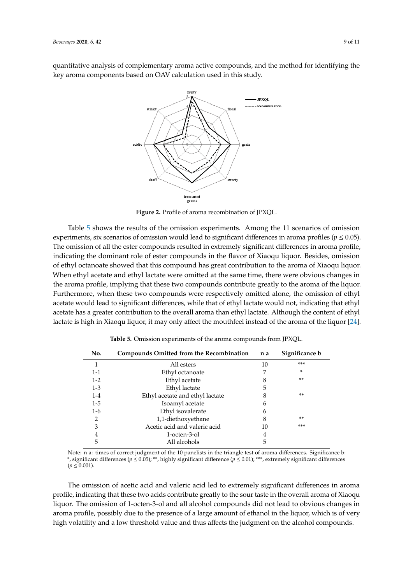<span id="page-8-0"></span>quantitative analysis of complementary aroma active compounds, and the method for identifying the key aroma components based on OAV calculation used in this study.



**Figure 2.** Profile of aroma recombination of JPXQL.

experiments, six scenarios of omission would lead to significant differences in aroma profiles ( $p \le 0.05$ ). The omission of all the ester compounds resulted in extremely significant differences in aroma profile, indicating the dominant role of ester compounds in the flavor of Xiaoqu liquor. Besides, omission of ethyl octanoate showed that this compound has great contribution to the aroma of Xiaoqu liquor. When ethyl acetate and ethyl lactate were omitted at the same time, there were obvious changes in the aroma profile, implying that these two compounds contribute greatly to the aroma of the liquor. Furthermore, when these two compounds were respectively omitted alone, the omission of ethyl acetate would lead to significant differences, while that of ethyl lactate would not, indicating that ethyl acetate has a greater contribution to the overall aroma than ethyl lactate. Although the content of ethyl lactate is high in Xiaoqu liquor, it may only affect the mouthfeel instead of the aroma of the liquor [\[24\]](#page-10-13). Table [5](#page-8-1) shows the results of the omission experiments. Among the 11 scenarios of omission

<span id="page-8-1"></span>

| No.     | Compounds Omitted from the Recombination | n a | Significance b |
|---------|------------------------------------------|-----|----------------|
|         | All esters                               | 10  | ***            |
| 1-1     | Ethyl octanoate                          |     | $\ast$         |
| $1-2$   | Ethyl acetate                            |     | **             |
| $1 - 3$ | Ethyl lactate                            | 5   |                |
| $1 - 4$ | Ethyl acetate and ethyl lactate          | 8   | $***$          |
| $1-5$   | Isoamyl acetate                          | 6   |                |
| 1-6     | Ethyl isovalerate                        | 6   |                |
| 2       | 1,1-diethoxyethane                       | 8   | **             |
| 3       | Acetic acid and valeric acid             | 10  | ***            |
| 4       | 1-octen-3-ol                             | 4   |                |
|         | All alcohols                             | 5   |                |

**Table 5.** Omission experiments of the aroma compounds from JPXQL.

Note: n a: times of correct judgment of the 10 panelists in the triangle test of aroma differences. Significance b: 1-1 Ethyl octanoate 7 \* \*, significant differences (*p* ≤ 0.05); \*\*, highly significant difference (*p* ≤ 0.01); \*\*\*, extremely significant differences  $(p \le 0.001)$ .

profile, indicating that these two acids contribute greatly to the sour taste in the overall aroma of Xiaoqu liquor. The omission of 1-octen-3-ol and all alcohol compounds did not lead to obvious changes in high volatility and a low threshold value and thus affects the judgment on the alcohol compounds. The omission of acetic acid and valeric acid led to extremely significant differences in aroma aroma profile, possibly due to the presence of a large amount of ethanol in the liquor, which is of very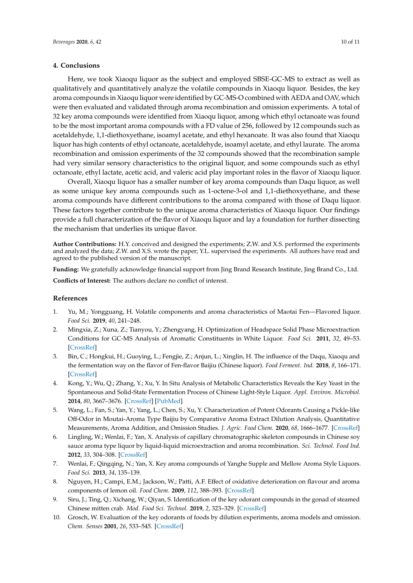#### **4. Conclusions**

Here, we took Xiaoqu liquor as the subject and employed SBSE-GC-MS to extract as well as qualitatively and quantitatively analyze the volatile compounds in Xiaoqu liquor. Besides, the key aroma compounds in Xiaoqu liquor were identified by GC-MS-O combined with AEDA and OAV, which were then evaluated and validated through aroma recombination and omission experiments. A total of 32 key aroma compounds were identified from Xiaoqu liquor, among which ethyl octanoate was found to be the most important aroma compounds with a FD value of 256, followed by 12 compounds such as acetaldehyde, 1,1-diethoxyethane, isoamyl acetate, and ethyl hexanoate. It was also found that Xiaoqu liquor has high contents of ethyl octanoate, acetaldehyde, isoamyl acetate, and ethyl laurate. The aroma recombination and omission experiments of the 32 compounds showed that the recombination sample had very similar sensory characteristics to the original liquor, and some compounds such as ethyl octanoate, ethyl lactate, acetic acid, and valeric acid play important roles in the flavor of Xiaoqu liquor.

Overall, Xiaoqu liquor has a smaller number of key aroma compounds than Daqu liquor, as well as some unique key aroma compounds such as 1-octene-3-ol and 1,1-diethoxyethane, and these aroma compounds have different contributions to the aroma compared with those of Daqu liquor. These factors together contribute to the unique aroma characteristics of Xiaoqu liquor. Our findings provide a full characterization of the flavor of Xiaoqu liquor and lay a foundation for further dissecting the mechanism that underlies its unique flavor.

**Author Contributions:** H.Y. conceived and designed the experiments; Z.W. and X.S. performed the experiments and analyzed the data; Z.W. and X.S. wrote the paper; Y.L. supervised the experiments. All authors have read and agreed to the published version of the manuscript.

**Funding:** We gratefully acknowledge financial support from Jing Brand Research Institute, Jing Brand Co., Ltd. **Conflicts of Interest:** The authors declare no conflict of interest.

## **References**

- <span id="page-9-0"></span>1. Yu, M.; Yongguang, H. Volatile components and aroma characteristics of Maotai Fen—Flavored liquor. *Food Sci.* **2019**, *40*, 241–248.
- <span id="page-9-1"></span>2. Mingxia, Z.; Xuna, Z.; Tianyou, Y.; Zhengyang, H. Optimization of Headspace Solid Phase Microextraction Conditions for GC-MS Analysis of Aromatic Constituents in White Liquor. *Food Sci.* **2011**, *32*, 49–53. [\[CrossRef\]](http://dx.doi.org/10.1097/RLU.0b013e3181f49ac7)
- <span id="page-9-2"></span>3. Bin, C.; Hongkui, H.; Guoying, L.; Fengjie, Z.; Anjun, L.; Xinglin, H. The influence of the Daqu, Xiaoqu and the fermentation way on the flavor of Fen-flavor Baijiu (Chinese liquor). *Food Ferment. Ind.* **2018**, *8*, 166–171. [\[CrossRef\]](http://dx.doi.org/10.13995/j.cnki.11-1802/ts.016650)
- <span id="page-9-3"></span>4. Kong, Y.; Wu, Q.; Zhang, Y.; Xu, Y. In Situ Analysis of Metabolic Characteristics Reveals the Key Yeast in the Spontaneous and Solid-State Fermentation Process of Chinese Light-Style Liquor. *Appl. Environ. Microbiol.* **2014**, *80*, 3667–3676. [\[CrossRef\]](http://dx.doi.org/10.1128/AEM.04219-13) [\[PubMed\]](http://www.ncbi.nlm.nih.gov/pubmed/24727269)
- <span id="page-9-4"></span>5. Wang, L.; Fan, S.; Yan, Y.; Yang, L.; Chen, S.; Xu, Y. Characterization of Potent Odorants Causing a Pickle-like Off-Odor in Moutai-Aroma Type Baijiu by Comparative Aroma Extract Dilution Analysis, Quantitative Measurements, Aroma Addition, and Omission Studies. *J. Agric. Food Chem.* **2020**, *68*, 1666–1677. [\[CrossRef\]](http://dx.doi.org/10.1021/acs.jafc.9b07238)
- <span id="page-9-5"></span>6. Lingling, W.; Wenlai, F.; Yan, X. Analysis of capillary chromatographic skeleton compounds in Chinese soy sauce aroma type liquor by liquid-liquid microextraction and aroma recombination. *Sci. Technol. Food Ind.* **2012**, *33*, 304–308. [\[CrossRef\]](http://dx.doi.org/10.13386/j.issn1002-0306.2012.19.015)
- <span id="page-9-6"></span>7. Wenlai, F.; Qingqing, N.; Yan, X. Key aroma compounds of Yanghe Supple and Mellow Aroma Style Liquors. *Food Sci.* **2013**, *34*, 135–139.
- <span id="page-9-7"></span>8. Nguyen, H.; Campi, E.M.; Jackson, W.; Patti, A.F. Effect of oxidative deterioration on flavour and aroma components of lemon oil. *Food Chem.* **2009**, *112*, 388–393. [\[CrossRef\]](http://dx.doi.org/10.1016/j.foodchem.2008.05.090)
- <span id="page-9-8"></span>9. Siru, J.; Ting, Q.; Xichang, W.; Qiyan, S. Identification of the key odorant compounds in the gonad of steamed Chinese mitten crab. *Mod. Food Sci. Technol.* **2019**, *2*, 323–329. [\[CrossRef\]](http://dx.doi.org/10.13982/j.mfst.1673-9078.2016.2.047)
- <span id="page-9-9"></span>10. Grosch, W. Evaluation of the key odorants of foods by dilution experiments, aroma models and omission. *Chem. Senses* **2001**, *26*, 533–545. [\[CrossRef\]](http://dx.doi.org/10.1093/chemse/26.5.533)